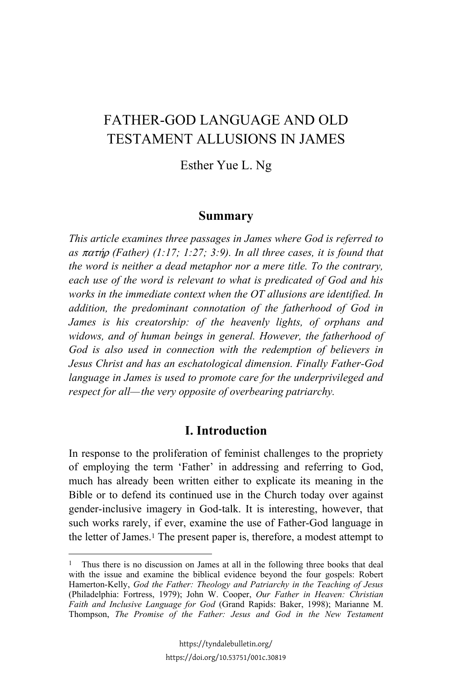# FATHER-GOD LANGUAGE AND OLD TESTAMENT ALLUSIONS IN JAMES

Esther Yue L. Ng

#### **Summary**

*This article examines three passages in James where God is referred to as*  $\pi \alpha \tau \eta \rho$  *(Father) (1:17; 1:27; 3:9). In all three cases, it is found that the word is neither a dead metaphor nor a mere title. To the contrary, each use of the word is relevant to what is predicated of God and his works in the immediate context when the OT allusions are identified. In addition, the predominant connotation of the fatherhood of God in James is his creatorship: of the heavenly lights, of orphans and widows, and of human beings in general. However, the fatherhood of God is also used in connection with the redemption of believers in Jesus Christ and has an eschatological dimension. Finally Father-God language in James is used to promote care for the underprivileged and respect for all—the very opposite of overbearing patriarchy.*

### **I. Introduction**

In response to the proliferation of feminist challenges to the propriety of employing the term 'Father' in addressing and referring to God, much has already been written either to explicate its meaning in the Bible or to defend its continued use in the Church today over against gender-inclusive imagery in God-talk. It is interesting, however, that such works rarely, if ever, examine the use of Father-God language in the letter of James.1 The present paper is, therefore, a modest attempt to

<sup>&</sup>lt;sup>1</sup> Thus there is no discussion on James at all in the following three books that deal with the issue and examine the biblical evidence beyond the four gospels: Robert Hamerton-Kelly, *God the Father: Theology and Patriarchy in the Teaching of Jesus* (Philadelphia: Fortress, 1979); John W. Cooper, *Our Father in Heaven: Christian Faith and Inclusive Language for God* (Grand Rapids: Baker, 1998); Marianne M. Thompson, *The Promise of the Father: Jesus and God in the New Testament*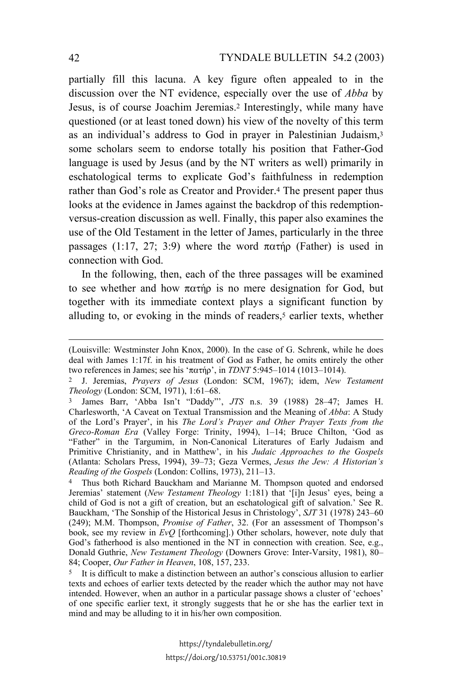partially fill this lacuna. A key figure often appealed to in the discussion over the NT evidence, especially over the use of *Abba* by Jesus, is of course Joachim Jeremias.2 Interestingly, while many have questioned (or at least toned down) his view of the novelty of this term as an individual's address to God in prayer in Palestinian Judaism,3 some scholars seem to endorse totally his position that Father-God language is used by Jesus (and by the NT writers as well) primarily in eschatological terms to explicate God's faithfulness in redemption rather than God's role as Creator and Provider.4 The present paper thus looks at the evidence in James against the backdrop of this redemptionversus-creation discussion as well. Finally, this paper also examines the use of the Old Testament in the letter of James, particularly in the three passages (1:17, 27; 3:9) where the word  $\pi \alpha \tau \eta \rho$  (Father) is used in connection with God.

In the following, then, each of the three passages will be examined to see whether and how  $\pi \alpha \tau \eta \rho$  is no mere designation for God, but together with its immediate context plays a significant function by alluding to, or evoking in the minds of readers,<sup>5</sup> earlier texts, whether

<sup>(</sup>Louisville: Westminster John Knox, 2000). In the case of G. Schrenk, while he does deal with James 1:17f. in his treatment of God as Father, he omits entirely the other two references in James; see his ' $\pi \alpha \tau \eta \rho$ ', in *TDNT* 5:945–1014 (1013–1014).

<sup>2</sup> J. Jeremias, *Prayers of Jesus* (London: SCM, 1967); idem, *New Testament Theology* (London: SCM, 1971), 1:61–68.

<sup>3</sup> James Barr, 'Abba Isn't "Daddy"', *JTS* n.s. 39 (1988) 28–47; James H. Charlesworth, 'A Caveat on Textual Transmission and the Meaning of *Abba*: A Study of the Lord's Prayer', in his *The Lord's Prayer and Other Prayer Texts from the Greco-Roman Era* (Valley Forge: Trinity, 1994), 1–14; Bruce Chilton, 'God as "Father" in the Targumim, in Non-Canonical Literatures of Early Judaism and Primitive Christianity, and in Matthew', in his *Judaic Approaches to the Gospels* (Atlanta: Scholars Press, 1994), 39–73; Geza Vermes, *Jesus the Jew: A Historian's Reading of the Gospels* (London: Collins, 1973), 211–13.

<sup>4</sup> Thus both Richard Bauckham and Marianne M. Thompson quoted and endorsed Jeremias' statement (*New Testament Theology* 1:181) that '[i]n Jesus' eyes, being a child of God is not a gift of creation, but an eschatological gift of salvation.' See R. Bauckham, 'The Sonship of the Historical Jesus in Christology', *SJT* 31 (1978) 243–60 (249); M.M. Thompson, *Promise of Father*, 32. (For an assessment of Thompson's book, see my review in *EvQ* [forthcoming].) Other scholars, however, note duly that God's fatherhood is also mentioned in the NT in connection with creation. See, e.g., Donald Guthrie, *New Testament Theology* (Downers Grove: Inter-Varsity, 1981), 80– 84; Cooper, *Our Father in Heaven*, 108, 157, 233.

<sup>5</sup> It is difficult to make a distinction between an author's conscious allusion to earlier texts and echoes of earlier texts detected by the reader which the author may not have intended. However, when an author in a particular passage shows a cluster of 'echoes' of one specific earlier text, it strongly suggests that he or she has the earlier text in mind and may be alluding to it in his/her own composition.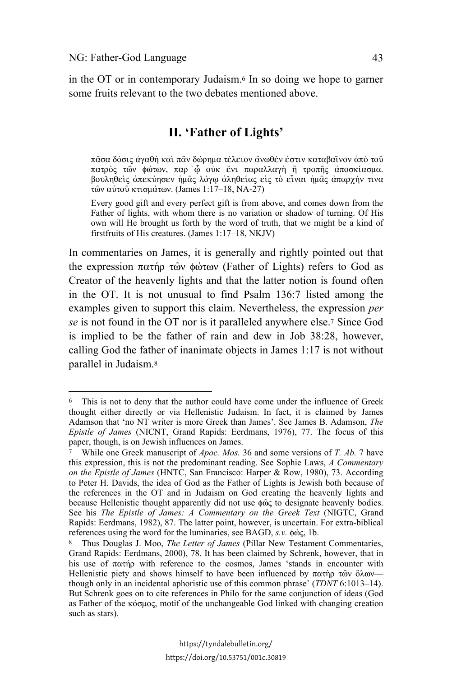l

in the OT or in contemporary Judaism.6 In so doing we hope to garner some fruits relevant to the two debates mentioned above.

## **II. 'Father of Lights'**

 $\pi$ ασα δόσις αγαθή και παν δώρημα τέλειον ανωθέν εστιν καταβαινον από του πατρός των φώτων, παρ ώ ούκ ένι παραλλαγή ή τροπής αποσκίασμα. βουληθείς απεκύησεν ήμας λόγω αληθείας είς το είναι ήμας απαρχήν τινα τών αύτου κτισμάτων. (James 1:17–18, NA-27)

Every good gift and every perfect gift is from above, and comes down from the Father of lights, with whom there is no variation or shadow of turning. Of His own will He brought us forth by the word of truth, that we might be a kind of firstfruits of His creatures. (James 1:17–18, NKJV)

In commentaries on James, it is generally and rightly pointed out that the expression  $\pi\alpha\tau\eta\rho\tau\omega\omega$  (Father of Lights) refers to God as Creator of the heavenly lights and that the latter notion is found often in the OT. It is not unusual to find Psalm 136:7 listed among the examples given to support this claim. Nevertheless, the expression *per se* is not found in the OT nor is it paralleled anywhere else.7 Since God is implied to be the father of rain and dew in Job 38:28, however, calling God the father of inanimate objects in James 1:17 is not without parallel in Judaism.8

<sup>6</sup> This is not to deny that the author could have come under the influence of Greek thought either directly or via Hellenistic Judaism. In fact, it is claimed by James Adamson that 'no NT writer is more Greek than James'. See James B. Adamson, *The Epistle of James* (NICNT, Grand Rapids: Eerdmans, 1976), 77. The focus of this paper, though, is on Jewish influences on James.

<sup>7</sup> While one Greek manuscript of *Apoc. Mos.* 36 and some versions of *T. Ab.* 7 have this expression, this is not the predominant reading. See Sophie Laws, *A Commentary on the Epistle of James* (HNTC, San Francisco: Harper & Row, 1980), 73. According to Peter H. Davids, the idea of God as the Father of Lights is Jewish both because of the references in the OT and in Judaism on God creating the heavenly lights and because Hellenistic thought apparently did not use  $\phi \hat{\omega}$  to designate heavenly bodies. See his *The Epistle of James: A Commentary on the Greek Text* (NIGTC, Grand Rapids: Eerdmans, 1982), 87. The latter point, however, is uncertain. For extra-biblical references using the word for the luminaries, see BAGD, *s.v.* φώς, 1b.

<sup>8</sup> Thus Douglas J. Moo, *The Letter of James* (Pillar New Testament Commentaries, Grand Rapids: Eerdmans, 2000), 78. It has been claimed by Schrenk, however, that in his use of  $\pi \alpha \tau \gamma \rho$  with reference to the cosmos, James 'stands in encounter with Hellenistic piety and shows himself to have been influenced by  $\pi \alpha \tau \hat{n} \rho \tau \hat{\omega} \nu$   $\delta \lambda \omega \nu$  though only in an incidental aphoristic use of this common phrase' (*TDNT* 6:1013–14). But Schrenk goes on to cite references in Philo for the same conjunction of ideas (God as Father of the  $\kappa$ όσμος, motif of the unchangeable God linked with changing creation such as stars).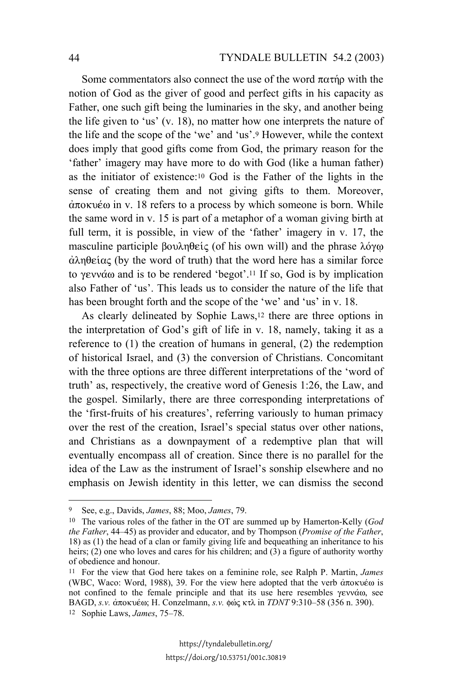Some commentators also connect the use of the word  $\pi \alpha \tau \eta \rho$  with the notion of God as the giver of good and perfect gifts in his capacity as Father, one such gift being the luminaries in the sky, and another being the life given to 'us' (v. 18), no matter how one interprets the nature of the life and the scope of the 'we' and 'us'.9 However, while the context does imply that good gifts come from God, the primary reason for the 'father' imagery may have more to do with God (like a human father) as the initiator of existence:10 God is the Father of the lights in the sense of creating them and not giving gifts to them. Moreover,  $\dot{\alpha}$ ποκυέω in v. 18 refers to a process by which someone is born. While the same word in v. 15 is part of a metaphor of a woman giving birth at full term, it is possible, in view of the 'father' imagery in v. 17, the masculine participle  $\beta$ ov $\lambda \eta \theta \epsilon$  (of his own will) and the phrase  $\lambda \phi \gamma \omega$  $\alpha\lambda\eta\theta\epsilon\alpha\zeta$  (by the word of truth) that the word here has a similar force to  $\gamma$ evvά $\omega$  and is to be rendered 'begot'.<sup>11</sup> If so, God is by implication also Father of 'us'. This leads us to consider the nature of the life that has been brought forth and the scope of the 'we' and 'us' in v. 18.

As clearly delineated by Sophie Laws,<sup>12</sup> there are three options in the interpretation of God's gift of life in v. 18, namely, taking it as a reference to (1) the creation of humans in general, (2) the redemption of historical Israel, and (3) the conversion of Christians. Concomitant with the three options are three different interpretations of the 'word of truth' as, respectively, the creative word of Genesis 1:26, the Law, and the gospel. Similarly, there are three corresponding interpretations of the 'first-fruits of his creatures', referring variously to human primacy over the rest of the creation, Israel's special status over other nations, and Christians as a downpayment of a redemptive plan that will eventually encompass all of creation. Since there is no parallel for the idea of the Law as the instrument of Israel's sonship elsewhere and no emphasis on Jewish identity in this letter, we can dismiss the second

<sup>9</sup> See, e.g., Davids, *James*, 88; Moo, *James*, 79.

<sup>10</sup> The various roles of the father in the OT are summed up by Hamerton-Kelly (*God the Father*, 44–45) as provider and educator, and by Thompson (*Promise of the Father*, 18) as (1) the head of a clan or family giving life and bequeathing an inheritance to his heirs; (2) one who loves and cares for his children; and (3) a figure of authority worthy of obedience and honour.

<sup>11</sup> For the view that God here takes on a feminine role, see Ralph P. Martin, *James* (WBC, Waco: Word, 1988), 39. For the view here adopted that the verb  $\alpha \pi$ okueve is not confined to the female principle and that its use here resembles  $\gamma$ evvá $\omega$ , see BAGD, *s.v.* άποκυέω; H. Conzelmann, *s.v.* φώς κτλ in *TDNT* 9:310–58 (356 n. 390).

<sup>12</sup> Sophie Laws, *James*, 75–78.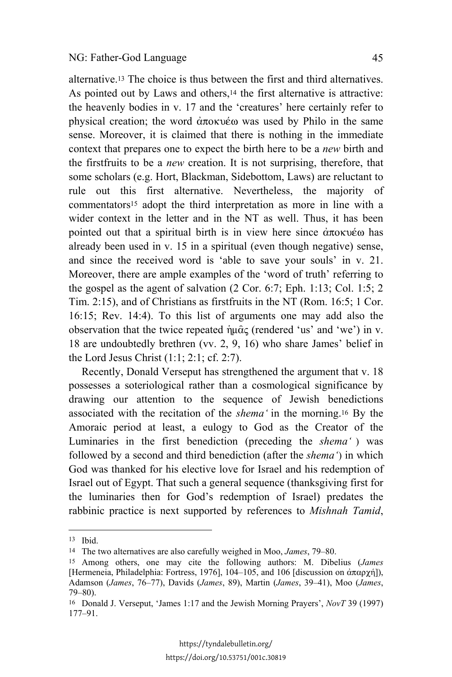alternative.13 The choice is thus between the first and third alternatives. As pointed out by Laws and others,<sup>14</sup> the first alternative is attractive: the heavenly bodies in v. 17 and the 'creatures' here certainly refer to physical creation; the word  $\alpha \pi$  okusove was used by Philo in the same sense. Moreover, it is claimed that there is nothing in the immediate context that prepares one to expect the birth here to be a *new* birth and the firstfruits to be a *new* creation. It is not surprising, therefore, that some scholars (e.g. Hort, Blackman, Sidebottom, Laws) are reluctant to rule out this first alternative. Nevertheless, the majority of commentators15 adopt the third interpretation as more in line with a wider context in the letter and in the NT as well. Thus, it has been pointed out that a spiritual birth is in view here since  $\dot{\alpha} \pi$ okueve has already been used in v. 15 in a spiritual (even though negative) sense, and since the received word is 'able to save your souls' in v. 21. Moreover, there are ample examples of the 'word of truth' referring to the gospel as the agent of salvation (2 Cor. 6:7; Eph. 1:13; Col. 1:5; 2 Tim. 2:15), and of Christians as firstfruits in the NT (Rom. 16:5; 1 Cor. 16:15; Rev. 14:4). To this list of arguments one may add also the observation that the twice repeated  $\hat{\eta} \mu \hat{\alpha} \zeta$  (rendered 'us' and 'we') in v. 18 are undoubtedly brethren (vv. 2, 9, 16) who share James' belief in the Lord Jesus Christ (1:1; 2:1; cf. 2:7).

Recently, Donald Verseput has strengthened the argument that v. 18 possesses a soteriological rather than a cosmological significance by drawing our attention to the sequence of Jewish benedictions associated with the recitation of the *shema'* in the morning.16 By the Amoraic period at least, a eulogy to God as the Creator of the Luminaries in the first benediction (preceding the *shema'* ) was followed by a second and third benediction (after the *shema'*) in which God was thanked for his elective love for Israel and his redemption of Israel out of Egypt. That such a general sequence (thanksgiving first for the luminaries then for God's redemption of Israel) predates the rabbinic practice is next supported by references to *Mishnah Tamid*,

 $\overline{\phantom{a}}$ 

<sup>13</sup> Ibid.

<sup>14</sup> The two alternatives are also carefully weighed in Moo, *James*, 79–80.

<sup>15</sup> Among others, one may cite the following authors: M. Dibelius (*James* [Hermeneia, Philadelphia: Fortress, 1976], 104–105, and 106 [discussion on  $\alpha \pi \alpha \rho \gamma \gamma$ ]), Adamson (*James*, 76–77), Davids (*James*, 89), Martin (*James*, 39–41), Moo (*James*, 79–80).

<sup>16</sup> Donald J. Verseput, 'James 1:17 and the Jewish Morning Prayers', *NovT* 39 (1997) 177–91.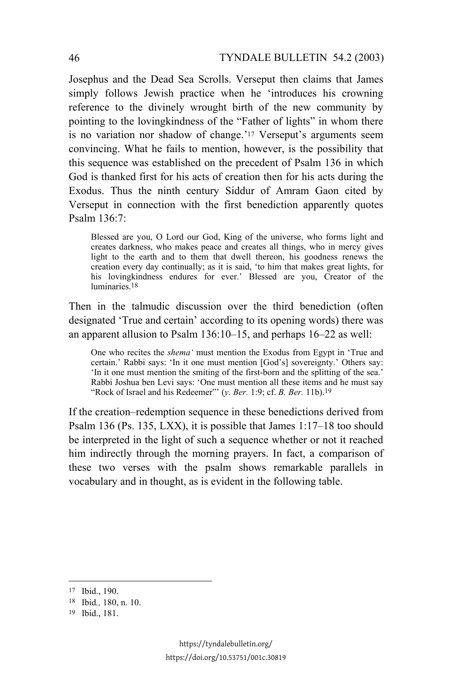Josephus and the Dead Sea Scrolls. Verseput then claims that James simply follows Jewish practice when he 'introduces his crowning reference to the divinely wrought birth of the new community by pointing to the lovingkindness of the "Father of lights" in whom there is no variation nor shadow of change.'17 Verseput's arguments seem convincing. What he fails to mention, however, is the possibility that this sequence was established on the precedent of Psalm 136 in which God is thanked first for his acts of creation then for his acts during the Exodus. Thus the ninth century Siddur of Amram Gaon cited by Verseput in connection with the first benediction apparently quotes Psalm 136:7:

Blessed are you, O Lord our God, King of the universe, who forms light and creates darkness, who makes peace and creates all things, who in mercy gives light to the earth and to them that dwell thereon, his goodness renews the creation every day continually; as it is said, 'to him that makes great lights, for his lovingkindness endures for ever.' Blessed are you, Creator of the luminaries.18

Then in the talmudic discussion over the third benediction (often designated 'True and certain' according to its opening words) there was an apparent allusion to Psalm 136:10–15, and perhaps 16–22 as well:

One who recites the *shema'* must mention the Exodus from Egypt in 'True and certain.' Rabbi says: 'In it one must mention [God's] sovereignty.' Others say: 'In it one must mention the smiting of the first-born and the splitting of the sea.' Rabbi Joshua ben Levi says: 'One must mention all these items and he must say "Rock of Israel and his Redeemer"' (*y. Ber.* 1:9; cf. *B. Ber.* 11b).19

If the creation–redemption sequence in these benedictions derived from Psalm 136 (Ps. 135, LXX), it is possible that James 1:17–18 too should be interpreted in the light of such a sequence whether or not it reached him indirectly through the morning prayers. In fact, a comparison of these two verses with the psalm shows remarkable parallels in vocabulary and in thought, as is evident in the following table.

<sup>17</sup> Ibid., 190.

<sup>18</sup> Ibid*.,* 180, n. 10.

<sup>19</sup> Ibid., 181.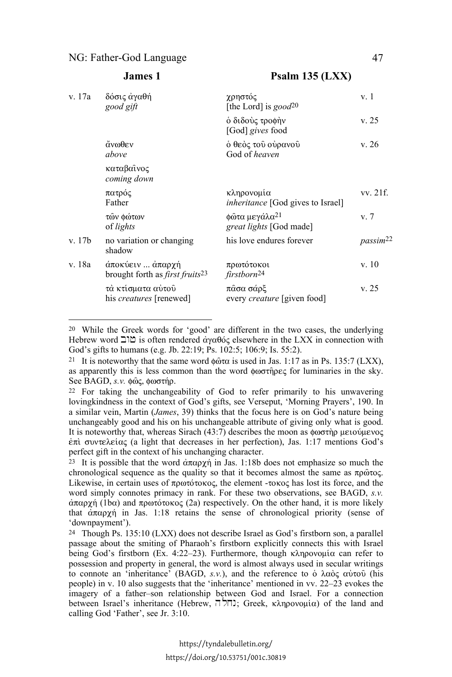#### NG: Father-God Language 47

 $\overline{\phantom{a}}$ 

| v. 17a | δόσις άγαθή<br>good gift                                               | χρηστός<br>[the Lord] is good <sup>20</sup>            | v. 1                 |
|--------|------------------------------------------------------------------------|--------------------------------------------------------|----------------------|
|        |                                                                        | ό διδούς τροφήν<br>[God] gives food                    | v. 25                |
|        | άνωθεν<br>above                                                        | ό θεὸς τοῦ οὐρανοῦ<br>God of heaven                    | v. 26                |
|        | καταβαινος<br>coming down                                              |                                                        |                      |
|        | πατρός<br>Father                                                       | κληρονομία<br><i>inheritance</i> [God gives to Israel] | vv. 21f.             |
|        | τῶν φώτων<br>of <i>lights</i>                                          | φῶτα μεγάλα <sup>21</sup><br>great lights [God made]   | v <sub>r</sub>       |
| v. 17b | no variation or changing<br>shadow                                     | his love endures forever                               | passim <sup>22</sup> |
| v. 18a | άποκύειν  άπαρχή<br>brought forth as <i>first fruits</i> <sup>23</sup> | πρωτότοκοι<br>firstborn <sup>24</sup>                  | v.10                 |
|        | τὰ κτίσματα αὐτοῦ<br>his <i>creatures</i> [renewed]                    | πάσα σάρξ<br>every <i>creature</i> [given food]        | v.25                 |
|        |                                                                        |                                                        |                      |

**James 1 Psalm 135 (LXX)**

22 For taking the unchangeability of God to refer primarily to his unwavering lovingkindness in the context of God's gifts, see Verseput, 'Morning Prayers', 190. In a similar vein, Martin (*James*, 39) thinks that the focus here is on God's nature being unchangeably good and his on his unchangeable attribute of giving only what is good. It is noteworthy that, whereas Sirach (43:7) describes the moon as  $\phi \omega \sigma \dot{\tau} \rho$  μειούμενος  $\epsilon \pi i$  συντελείας (a light that decreases in her perfection), Jas. 1:17 mentions God's perfect gift in the context of his unchanging character.

<sup>23</sup> It is possible that the word  $\alpha \pi \alpha \rho \gamma \eta$  in Jas. 1:18b does not emphasize so much the chronological sequence as the quality so that it becomes almost the same as  $\pi \rho \hat{\omega} \tau o \varsigma$ . Likewise, in certain uses of  $\pi$ pwtotoko $\varsigma$ , the element -toko $\varsigma$  has lost its force, and the word simply connotes primacy in rank. For these two observations, see BAGD, *s.v.*  $\alpha$  $\pi$  $\alpha$  $\gamma$  (1b $\alpha$ ) and  $\pi$  $\alpha$  $\sigma$  $\gamma$  $\alpha$ o $\alpha$  (2a) respectively. On the other hand, it is more likely that  $\alpha \pi \alpha \rho \gamma \gamma$  in Jas. 1:18 retains the sense of chronological priority (sense of 'downpayment').

24 Though Ps. 135:10 (LXX) does not describe Israel as God's firstborn son, a parallel passage about the smiting of Pharaoh's firstborn explicitly connects this with Israel being God's firstborn (Ex. 4:22-23). Furthermore, though  $\kappa \lambda \eta \rho o \nu o \mu i \alpha$  can refer to possession and property in general, the word is almost always used in secular writings to connote an 'inheritance' (BAGD,  $s.v.$ ), and the reference to  $\phi$   $\lambda \alpha \dot{\alpha} \zeta$   $\alpha \dot{\alpha} \alpha \dot{\alpha}$  (his people) in v. 10 also suggests that the 'inheritance' mentioned in vv. 22–23 evokes the imagery of a father–son relationship between God and Israel. For a connection between Israel's inheritance (Hebrew, הולה; Greek, κληρονομία) of the land and calling God 'Father', see Jr. 3:10.

<sup>20</sup> While the Greek words for 'good' are different in the two cases, the underlying Hebrew word  $\Sigma$  is often rendered αγαθός elsewhere in the LXX in connection with God's gifts to humans (e.g. Jb. 22:19; Ps. 102:5; 106:9; Is. 55:2).

<sup>&</sup>lt;sup>21</sup> It is noteworthy that the same word  $\phi \hat{\omega} \tau \alpha$  is used in Jas. 1:17 as in Ps. 135:7 (LXX), as apparently this is less common than the word  $\phi \omega \sigma$  for luminaries in the sky. See BAGD, *s.v.* φώς, φωστήρ.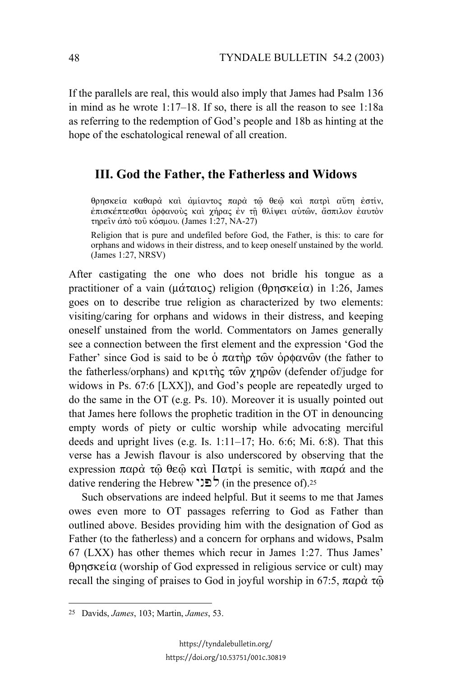If the parallels are real, this would also imply that James had Psalm 136 in mind as he wrote 1:17–18. If so, there is all the reason to see 1:18a as referring to the redemption of God's people and 18b as hinting at the hope of the eschatological renewal of all creation.

## **III. God the Father, the Fatherless and Widows**

θρησκεία καθαρά και αμίαντος παρά τώ θεώ και πατρι αύτη εστίν, eπισκέπτεσθαι ορφανούς και χήρας εν τη θλίψει αυτών, άσπιλον εαυτον τηρείν από του κόσμου. (James 1:27, NA-27)

Religion that is pure and undefiled before God, the Father, is this: to care for orphans and widows in their distress, and to keep oneself unstained by the world. (James 1:27, NRSV)

After castigating the one who does not bridle his tongue as a practitioner of a vain ( $\mu\alpha\tau\alpha\iota o\varsigma$ ) religion ( $\theta\rho\eta\sigma\kappa\epsilon\iota o$ ) in 1:26, James goes on to describe true religion as characterized by two elements: visiting/caring for orphans and widows in their distress, and keeping oneself unstained from the world. Commentators on James generally see a connection between the first element and the expression 'God the Father' since God is said to be  $\dot{\text{o}}$   $\pi \alpha \tau \dot{\text{n}}$   $\beta$   $\alpha \dot{\text{o}}$   $\gamma$   $\dot{\text{o}}$   $\gamma$  (the father to the fatherless/orphans) and  $\kappa$  $\rho \tau$  to  $\gamma$   $\gamma$   $\gamma$   $\alpha$  (defender of/judge for widows in Ps. 67:6 [LXX]), and God's people are repeatedly urged to do the same in the OT (e.g. Ps. 10). Moreover it is usually pointed out that James here follows the prophetic tradition in the OT in denouncing empty words of piety or cultic worship while advocating merciful deeds and upright lives (e.g. Is. 1:11–17; Ho. 6:6; Mi. 6:8). That this verse has a Jewish flavour is also underscored by observing that the expression  $\pi \alpha \rho \dot{\alpha}$   $\tau \ddot{\omega}$   $\theta \epsilon \ddot{\omega}$  kai;  $\Pi \alpha \tau \dot{\rho}$  is semitic, with  $\pi \alpha \rho \dot{\alpha}$  and the dative rendering the Hebrew  $\sum \int$  (in the presence of).<sup>25</sup>

Such observations are indeed helpful. But it seems to me that James owes even more to OT passages referring to God as Father than outlined above. Besides providing him with the designation of God as Father (to the fatherless) and a concern for orphans and widows, Psalm 67 (LXX) has other themes which recur in James 1:27. Thus James'  $\theta$ ρησκεία (worship of God expressed in religious service or cult) may recall the singing of praises to God in joyful worship in 67:5,  $\pi \alpha \rho \dot{\alpha} \tau \ddot{\omega}$ 

<sup>25</sup> Davids, *James*, 103; Martin, *James*, 53.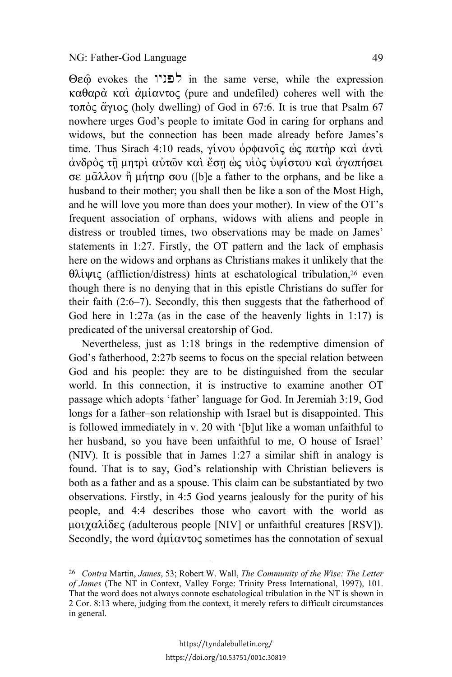l

 $\Theta$ eme verse, while the expression  $\Theta$ eme verse, while the expression  $\kappa \alpha \theta \alpha \rho \dot{\alpha}$   $\kappa \alpha \dot{\alpha}$   $\dot{\alpha} \mu \dot{\alpha} \nu \tau \dot{\alpha}$  (pure and undefiled) coheres well with the τοπός άγιος (holy dwelling) of God in 67:6. It is true that Psalm 67 nowhere urges God's people to imitate God in caring for orphans and widows, but the connection has been made already before James's time. Thus Sirach 4:10 reads,  $\gamma$ ivou op $\phi$ avoic os  $\pi$ athp kai avti άνδρος τη μητρι αυτών και έση ως υιος υψίστου και αγαπήσει σε μ $\hat{\alpha}$ λλον ή μήτηρ σου ([b]e a father to the orphans, and be like a husband to their mother; you shall then be like a son of the Most High, and he will love you more than does your mother). In view of the OT's frequent association of orphans, widows with aliens and people in distress or troubled times, two observations may be made on James' statements in 1:27. Firstly, the OT pattern and the lack of emphasis here on the widows and orphans as Christians makes it unlikely that the  $\theta \lambda \psi \psi \zeta$  (affliction/distress) hints at eschatological tribulation,<sup>26</sup> even though there is no denying that in this epistle Christians do suffer for their faith (2:6–7). Secondly, this then suggests that the fatherhood of God here in 1:27a (as in the case of the heavenly lights in 1:17) is predicated of the universal creatorship of God.

Nevertheless, just as 1:18 brings in the redemptive dimension of God's fatherhood, 2:27b seems to focus on the special relation between God and his people: they are to be distinguished from the secular world. In this connection, it is instructive to examine another OT passage which adopts 'father' language for God. In Jeremiah 3:19, God longs for a father–son relationship with Israel but is disappointed. This is followed immediately in v. 20 with '[b]ut like a woman unfaithful to her husband, so you have been unfaithful to me, O house of Israel' (NIV). It is possible that in James 1:27 a similar shift in analogy is found. That is to say, God's relationship with Christian believers is both as a father and as a spouse. This claim can be substantiated by two observations. Firstly, in 4:5 God yearns jealously for the purity of his people, and 4:4 describes those who cavort with the world as  $\mu$ oi $\chi$ a $\lambda i \delta \varepsilon \zeta$  (adulterous people [NIV] or unfaithful creatures [RSV]). Secondly, the word  $\dot{\alpha}$ u $\dot{\alpha}$ v $\alpha$  sometimes has the connotation of sexual

<sup>26</sup> *Contra* Martin, *James*, 53; Robert W. Wall, *The Community of the Wise: The Letter of James* (The NT in Context, Valley Forge: Trinity Press International, 1997), 101. That the word does not always connote eschatological tribulation in the NT is shown in 2 Cor. 8:13 where, judging from the context, it merely refers to difficult circumstances in general.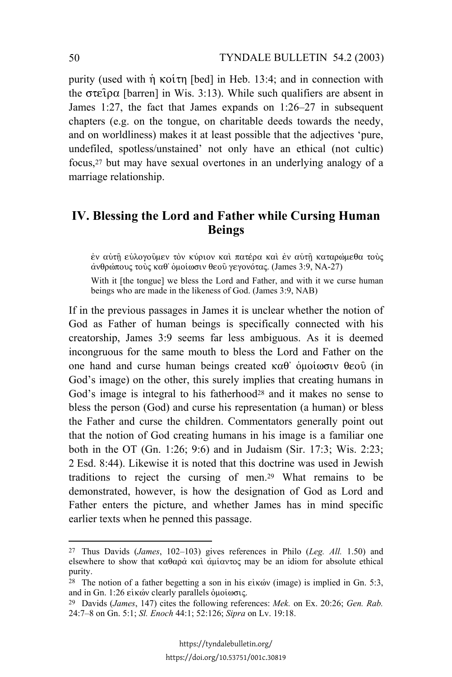purity (used with  $\eta$  ko $\tilde{\tau}$  [bed] in Heb. 13:4; and in connection with the  $\sigma \tau \in \rho \alpha$  [barren] in Wis. 3:13). While such qualifiers are absent in James 1:27, the fact that James expands on 1:26–27 in subsequent chapters (e.g. on the tongue, on charitable deeds towards the needy, and on worldliness) makes it at least possible that the adjectives 'pure, undefiled, spotless/unstained' not only have an ethical (not cultic) focus,27 but may have sexual overtones in an underlying analogy of a marriage relationship.

## **IV. Blessing the Lord and Father while Cursing Human Beings**

έν αύτη εύλογούμεν τον κύριον και πατέρα και έν αυτη καταρώμεθα τους  $\alpha$ νθρώπους τους καθ' ομοίωσιν θεου γεγονότας. (James 3:9, NA-27)

With it [the tongue] we bless the Lord and Father, and with it we curse human beings who are made in the likeness of God. (James 3:9, NAB)

If in the previous passages in James it is unclear whether the notion of God as Father of human beings is specifically connected with his creatorship, James 3:9 seems far less ambiguous. As it is deemed incongruous for the same mouth to bless the Lord and Father on the one hand and curse human beings created  $\kappa \alpha \theta$  ouo $\omega$   $\alpha$   $\theta$  (in God's image) on the other, this surely implies that creating humans in God's image is integral to his fatherhood<sup>28</sup> and it makes no sense to bless the person (God) and curse his representation (a human) or bless the Father and curse the children. Commentators generally point out that the notion of God creating humans in his image is a familiar one both in the OT (Gn. 1:26; 9:6) and in Judaism (Sir. 17:3; Wis. 2:23; 2 Esd. 8:44). Likewise it is noted that this doctrine was used in Jewish traditions to reject the cursing of men.29 What remains to be demonstrated, however, is how the designation of God as Lord and Father enters the picture, and whether James has in mind specific earlier texts when he penned this passage.

<sup>27</sup> Thus Davids (*James*, 102–103) gives references in Philo (*Leg. All.* 1.50) and elsewhere to show that  $\kappa \alpha \theta \alpha \rho \dot{\alpha} \kappa \alpha \dot{\alpha} \dot{\alpha} \mu \dot{\alpha} \nu \tau \dot{\alpha}$  may be an idiom for absolute ethical purity.

<sup>&</sup>lt;sup>28</sup> The notion of a father begetting a son in his  $\epsilon$ *i*<sub>x</sub>ov (image) is implied in Gn. 5:3, and in Gn. 1:26 είκών clearly parallels ομοίωσις.

<sup>29</sup> Davids (*James*, 147) cites the following references: *Mek.* on Ex. 20:26; *Gen. Rab.* 24:7–8 on Gn. 5:1; *Sl. Enoch* 44:1; 52:126; *Sipra* on Lv. 19:18.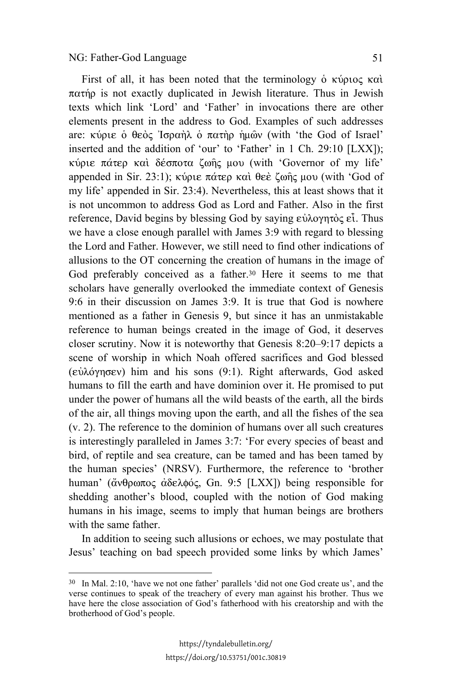$\overline{\phantom{a}}$ 

First of all, it has been noted that the terminology  $\delta$   $\kappa \omega$ <sub>p</sub>  $\kappa \alpha \iota$ ;  $\pi\alpha\tau\eta\rho$  is not exactly duplicated in Jewish literature. Thus in Jewish texts which link 'Lord' and 'Father' in invocations there are other elements present in the address to God. Examples of such addresses are: κύριε ο θεὸς Ἰσραὴλ ο πατὴρ ἡμῶν (with 'the God of Israel' inserted and the addition of 'our' to 'Father' in 1 Ch. 29:10 [LXX]); κύριε πάτερ και δέσποτα ζωής μου (with 'Governor of my life' appended in Sir. 23:1); κύριε πάτερ και θεε ζωής μου (with 'God of my life' appended in Sir. 23:4). Nevertheless, this at least shows that it is not uncommon to address God as Lord and Father. Also in the first reference, David begins by blessing God by saying  $\varepsilon \hat{\nu} \lambda$  over  $\hat{\varepsilon}$ . Thus we have a close enough parallel with James 3:9 with regard to blessing the Lord and Father. However, we still need to find other indications of allusions to the OT concerning the creation of humans in the image of God preferably conceived as a father.30 Here it seems to me that scholars have generally overlooked the immediate context of Genesis 9:6 in their discussion on James 3:9. It is true that God is nowhere mentioned as a father in Genesis 9, but since it has an unmistakable reference to human beings created in the image of God, it deserves closer scrutiny. Now it is noteworthy that Genesis 8:20–9:17 depicts a scene of worship in which Noah offered sacrifices and God blessed  $(\epsilon \dot{\nu} \lambda \dot{\nu})$  him and his sons (9:1). Right afterwards, God asked humans to fill the earth and have dominion over it. He promised to put under the power of humans all the wild beasts of the earth, all the birds of the air, all things moving upon the earth, and all the fishes of the sea (v. 2). The reference to the dominion of humans over all such creatures is interestingly paralleled in James 3:7: 'For every species of beast and bird, of reptile and sea creature, can be tamed and has been tamed by the human species' (NRSV). Furthermore, the reference to 'brother human' (άνθρωπος άδελφός, Gn. 9:5 [LXX]) being responsible for shedding another's blood, coupled with the notion of God making humans in his image, seems to imply that human beings are brothers with the same father.

In addition to seeing such allusions or echoes, we may postulate that Jesus' teaching on bad speech provided some links by which James'

<sup>30</sup> In Mal. 2:10, 'have we not one father' parallels 'did not one God create us', and the verse continues to speak of the treachery of every man against his brother. Thus we have here the close association of God's fatherhood with his creatorship and with the brotherhood of God's people.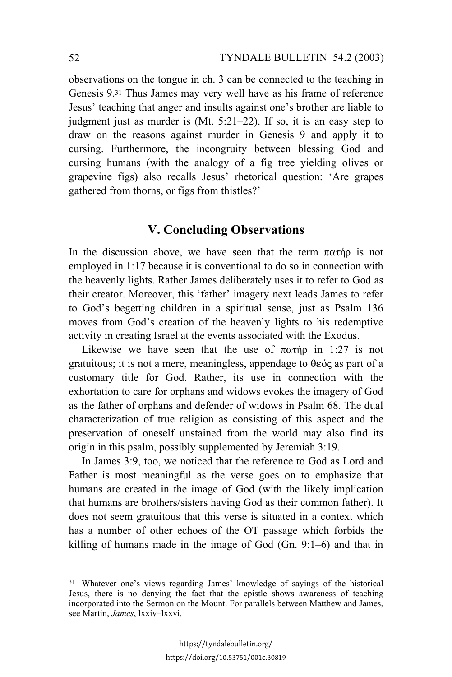observations on the tongue in ch. 3 can be connected to the teaching in Genesis 9.31 Thus James may very well have as his frame of reference Jesus' teaching that anger and insults against one's brother are liable to judgment just as murder is (Mt. 5:21–22). If so, it is an easy step to draw on the reasons against murder in Genesis 9 and apply it to cursing. Furthermore, the incongruity between blessing God and cursing humans (with the analogy of a fig tree yielding olives or grapevine figs) also recalls Jesus' rhetorical question: 'Are grapes gathered from thorns, or figs from thistles?'

## **V. Concluding Observations**

In the discussion above, we have seen that the term  $\pi \alpha \tau \eta \rho$  is not employed in 1:17 because it is conventional to do so in connection with the heavenly lights. Rather James deliberately uses it to refer to God as their creator. Moreover, this 'father' imagery next leads James to refer to God's begetting children in a spiritual sense, just as Psalm 136 moves from God's creation of the heavenly lights to his redemptive activity in creating Israel at the events associated with the Exodus.

Likewise we have seen that the use of  $\pi\alpha\tau$  in 1:27 is not gratuitous; it is not a mere, meaningless, appendage to  $\theta \in \alpha$  as part of a customary title for God. Rather, its use in connection with the exhortation to care for orphans and widows evokes the imagery of God as the father of orphans and defender of widows in Psalm 68. The dual characterization of true religion as consisting of this aspect and the preservation of oneself unstained from the world may also find its origin in this psalm, possibly supplemented by Jeremiah 3:19.

In James 3:9, too, we noticed that the reference to God as Lord and Father is most meaningful as the verse goes on to emphasize that humans are created in the image of God (with the likely implication that humans are brothers/sisters having God as their common father). It does not seem gratuitous that this verse is situated in a context which has a number of other echoes of the OT passage which forbids the killing of humans made in the image of God (Gn. 9:1–6) and that in

 $\overline{\phantom{a}}$ 

<sup>31</sup> Whatever one's views regarding James' knowledge of sayings of the historical Jesus, there is no denying the fact that the epistle shows awareness of teaching incorporated into the Sermon on the Mount. For parallels between Matthew and James, see Martin, *James*, lxxiv–lxxvi.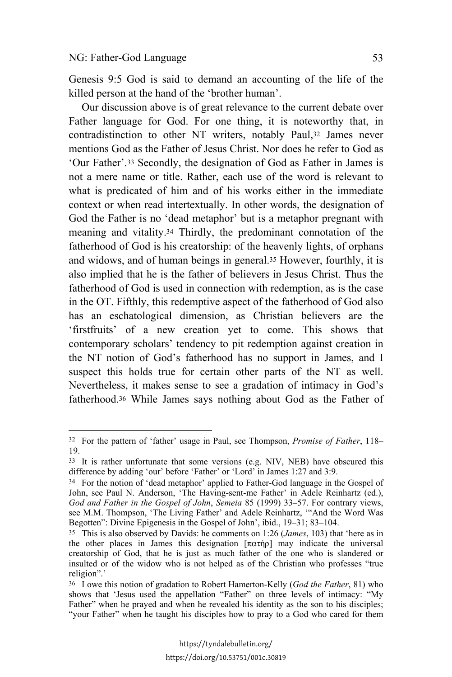l

Genesis 9:5 God is said to demand an accounting of the life of the killed person at the hand of the 'brother human'.

Our discussion above is of great relevance to the current debate over Father language for God. For one thing, it is noteworthy that, in contradistinction to other NT writers, notably Paul,32 James never mentions God as the Father of Jesus Christ. Nor does he refer to God as 'Our Father'.33 Secondly, the designation of God as Father in James is not a mere name or title. Rather, each use of the word is relevant to what is predicated of him and of his works either in the immediate context or when read intertextually. In other words, the designation of God the Father is no 'dead metaphor' but is a metaphor pregnant with meaning and vitality.34 Thirdly, the predominant connotation of the fatherhood of God is his creatorship: of the heavenly lights, of orphans and widows, and of human beings in general.35 However, fourthly, it is also implied that he is the father of believers in Jesus Christ. Thus the fatherhood of God is used in connection with redemption, as is the case in the OT. Fifthly, this redemptive aspect of the fatherhood of God also has an eschatological dimension, as Christian believers are the 'firstfruits' of a new creation yet to come. This shows that contemporary scholars' tendency to pit redemption against creation in the NT notion of God's fatherhood has no support in James, and I suspect this holds true for certain other parts of the NT as well. Nevertheless, it makes sense to see a gradation of intimacy in God's fatherhood.36 While James says nothing about God as the Father of

<sup>32</sup> For the pattern of 'father' usage in Paul, see Thompson, *Promise of Father*, 118– 19.

<sup>33</sup> It is rather unfortunate that some versions (e.g. NIV, NEB) have obscured this difference by adding 'our' before 'Father' or 'Lord' in James 1:27 and 3:9.

<sup>34</sup> For the notion of 'dead metaphor' applied to Father-God language in the Gospel of John, see Paul N. Anderson, 'The Having-sent-me Father' in Adele Reinhartz (ed.), *God and Father in the Gospel of John*, *Semeia* 85 (1999) 33–57. For contrary views, see M.M. Thompson, 'The Living Father' and Adele Reinhartz, '"And the Word Was Begotten": Divine Epigenesis in the Gospel of John', ibid., 19–31; 83–104.

<sup>35</sup> This is also observed by Davids: he comments on 1:26 (*James*, 103) that 'here as in the other places in James this designation  $[\pi \alpha \tau \eta \rho]$  may indicate the universal creatorship of God, that he is just as much father of the one who is slandered or insulted or of the widow who is not helped as of the Christian who professes "true religion".'

<sup>36</sup> I owe this notion of gradation to Robert Hamerton-Kelly (*God the Father*, 81) who shows that 'Jesus used the appellation "Father" on three levels of intimacy: "My Father" when he prayed and when he revealed his identity as the son to his disciples; "your Father" when he taught his disciples how to pray to a God who cared for them